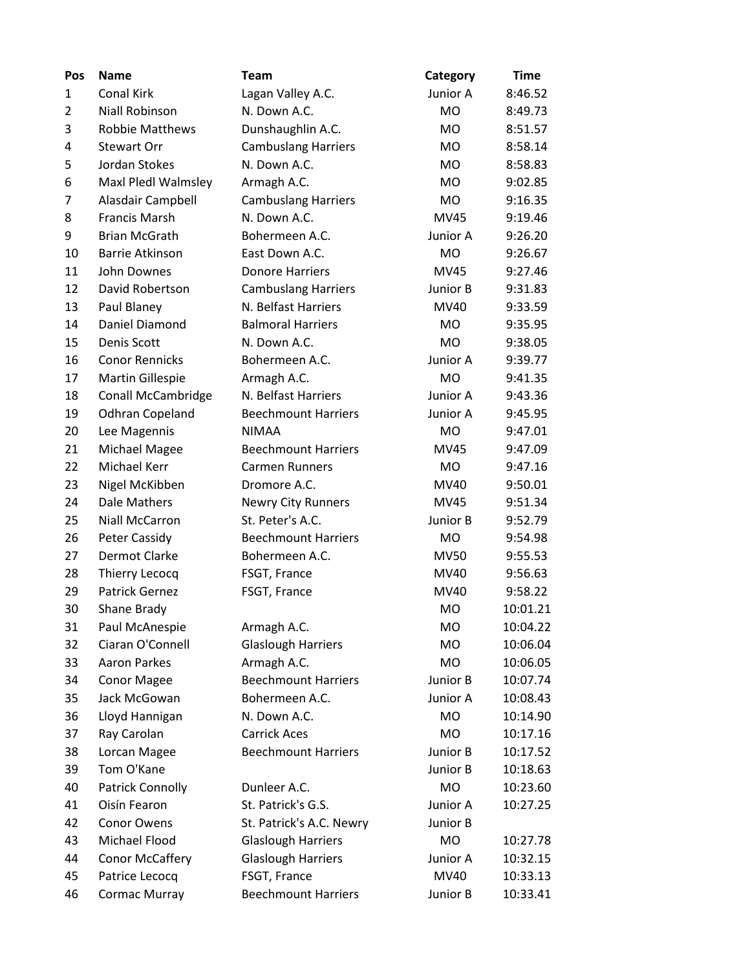| Pos            | <b>Name</b>               | <b>Team</b>                | Category    | <b>Time</b> |
|----------------|---------------------------|----------------------------|-------------|-------------|
| 1              | Conal Kirk                | Lagan Valley A.C.          | Junior A    | 8:46.52     |
| $\overline{2}$ | <b>Niall Robinson</b>     | N. Down A.C.               | <b>MO</b>   | 8:49.73     |
| 3              | <b>Robbie Matthews</b>    | Dunshaughlin A.C.          | <b>MO</b>   | 8:51.57     |
| 4              | <b>Stewart Orr</b>        | <b>Cambuslang Harriers</b> | <b>MO</b>   | 8:58.14     |
| 5              | Jordan Stokes             | N. Down A.C.               | <b>MO</b>   | 8:58.83     |
| 6              | Maxl Pledl Walmsley       | Armagh A.C.                | <b>MO</b>   | 9:02.85     |
| 7              | Alasdair Campbell         | <b>Cambuslang Harriers</b> | <b>MO</b>   | 9:16.35     |
| 8              | <b>Francis Marsh</b>      | N. Down A.C.               | <b>MV45</b> | 9:19.46     |
| 9              | <b>Brian McGrath</b>      | Bohermeen A.C.             | Junior A    | 9:26.20     |
| 10             | <b>Barrie Atkinson</b>    | East Down A.C.             | <b>MO</b>   | 9:26.67     |
| 11             | John Downes               | <b>Donore Harriers</b>     | <b>MV45</b> | 9:27.46     |
| 12             | David Robertson           | <b>Cambuslang Harriers</b> | Junior B    | 9:31.83     |
| 13             | Paul Blaney               | N. Belfast Harriers        | MV40        | 9:33.59     |
| 14             | Daniel Diamond            | <b>Balmoral Harriers</b>   | <b>MO</b>   | 9:35.95     |
| 15             | Denis Scott               | N. Down A.C.               | <b>MO</b>   | 9:38.05     |
| 16             | <b>Conor Rennicks</b>     | Bohermeen A.C.             | Junior A    | 9:39.77     |
| 17             | <b>Martin Gillespie</b>   | Armagh A.C.                | <b>MO</b>   | 9:41.35     |
| 18             | <b>Conall McCambridge</b> | N. Belfast Harriers        | Junior A    | 9:43.36     |
| 19             | <b>Odhran Copeland</b>    | <b>Beechmount Harriers</b> | Junior A    | 9:45.95     |
| 20             | Lee Magennis              | <b>NIMAA</b>               | <b>MO</b>   | 9:47.01     |
| 21             | Michael Magee             | <b>Beechmount Harriers</b> | <b>MV45</b> | 9:47.09     |
| 22             | Michael Kerr              | <b>Carmen Runners</b>      | <b>MO</b>   | 9:47.16     |
| 23             | Nigel McKibben            | Dromore A.C.               | MV40        | 9:50.01     |
| 24             | Dale Mathers              | <b>Newry City Runners</b>  | <b>MV45</b> | 9:51.34     |
| 25             | <b>Niall McCarron</b>     | St. Peter's A.C.           | Junior B    | 9:52.79     |
| 26             | Peter Cassidy             | <b>Beechmount Harriers</b> | <b>MO</b>   | 9:54.98     |
| 27             | <b>Dermot Clarke</b>      | Bohermeen A.C.             | <b>MV50</b> | 9:55.53     |
| 28             | <b>Thierry Lecocq</b>     | FSGT, France               | MV40        | 9:56.63     |
| 29             | <b>Patrick Gernez</b>     | FSGT, France               | MV40        | 9:58.22     |
| 30             | Shane Brady               |                            | <b>MO</b>   | 10:01.21    |
| 31             | Paul McAnespie            | Armagh A.C.                | <b>MO</b>   | 10:04.22    |
| 32             | Ciaran O'Connell          | <b>Glaslough Harriers</b>  | <b>MO</b>   | 10:06.04    |
| 33             | <b>Aaron Parkes</b>       | Armagh A.C.                | <b>MO</b>   | 10:06.05    |
| 34             | <b>Conor Magee</b>        | <b>Beechmount Harriers</b> | Junior B    | 10:07.74    |
| 35             | Jack McGowan              | Bohermeen A.C.             | Junior A    | 10:08.43    |
| 36             | Lloyd Hannigan            | N. Down A.C.               | <b>MO</b>   | 10:14.90    |
| 37             | Ray Carolan               | <b>Carrick Aces</b>        | <b>MO</b>   | 10:17.16    |
| 38             | Lorcan Magee              | <b>Beechmount Harriers</b> | Junior B    | 10:17.52    |
| 39             | Tom O'Kane                |                            | Junior B    | 10:18.63    |
| 40             | <b>Patrick Connolly</b>   | Dunleer A.C.               | <b>MO</b>   | 10:23.60    |
| 41             | Oisín Fearon              | St. Patrick's G.S.         | Junior A    | 10:27.25    |
| 42             | Conor Owens               | St. Patrick's A.C. Newry   | Junior B    |             |
| 43             | Michael Flood             | <b>Glaslough Harriers</b>  | <b>MO</b>   | 10:27.78    |
| 44             | <b>Conor McCaffery</b>    | <b>Glaslough Harriers</b>  | Junior A    | 10:32.15    |
| 45             | Patrice Lecocq            | FSGT, France               | MV40        | 10:33.13    |
| 46             | Cormac Murray             | <b>Beechmount Harriers</b> | Junior B    | 10:33.41    |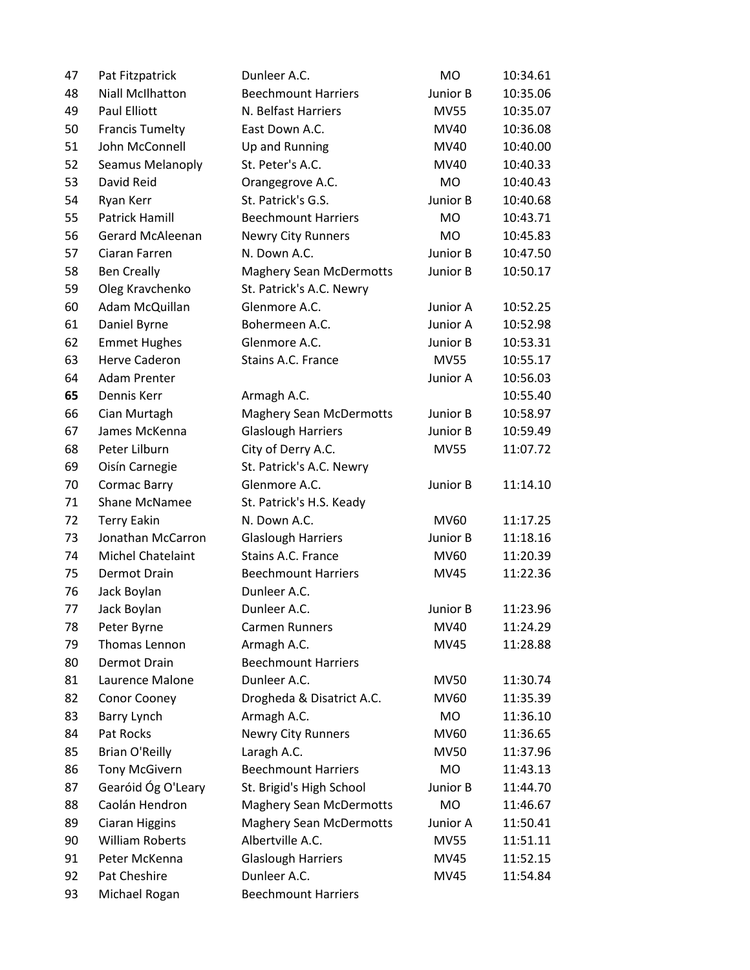| 47 | Pat Fitzpatrick          | Dunleer A.C.                   | <b>MO</b>   | 10:34.61 |
|----|--------------------------|--------------------------------|-------------|----------|
| 48 | <b>Niall McIlhatton</b>  | <b>Beechmount Harriers</b>     | Junior B    | 10:35.06 |
| 49 | Paul Elliott             | N. Belfast Harriers            | <b>MV55</b> | 10:35.07 |
| 50 | <b>Francis Tumelty</b>   | East Down A.C.                 | MV40        | 10:36.08 |
| 51 | John McConnell           | Up and Running                 | MV40        | 10:40.00 |
| 52 | Seamus Melanoply         | St. Peter's A.C.               | MV40        | 10:40.33 |
| 53 | David Reid               | Orangegrove A.C.               | <b>MO</b>   | 10:40.43 |
| 54 | Ryan Kerr                | St. Patrick's G.S.             | Junior B    | 10:40.68 |
| 55 | <b>Patrick Hamill</b>    | <b>Beechmount Harriers</b>     | <b>MO</b>   | 10:43.71 |
| 56 | <b>Gerard McAleenan</b>  | <b>Newry City Runners</b>      | <b>MO</b>   | 10:45.83 |
| 57 | Ciaran Farren            | N. Down A.C.                   | Junior B    | 10:47.50 |
| 58 | <b>Ben Creally</b>       | <b>Maghery Sean McDermotts</b> | Junior B    | 10:50.17 |
| 59 | Oleg Kravchenko          | St. Patrick's A.C. Newry       |             |          |
| 60 | Adam McQuillan           | Glenmore A.C.                  | Junior A    | 10:52.25 |
| 61 | Daniel Byrne             | Bohermeen A.C.                 | Junior A    | 10:52.98 |
| 62 | <b>Emmet Hughes</b>      | Glenmore A.C.                  | Junior B    | 10:53.31 |
| 63 | <b>Herve Caderon</b>     | Stains A.C. France             | <b>MV55</b> | 10:55.17 |
| 64 | <b>Adam Prenter</b>      |                                | Junior A    | 10:56.03 |
| 65 | Dennis Kerr              | Armagh A.C.                    |             | 10:55.40 |
| 66 | Cian Murtagh             | <b>Maghery Sean McDermotts</b> | Junior B    | 10:58.97 |
| 67 | James McKenna            | <b>Glaslough Harriers</b>      | Junior B    | 10:59.49 |
| 68 | Peter Lilburn            | City of Derry A.C.             | <b>MV55</b> | 11:07.72 |
| 69 | Oisín Carnegie           | St. Patrick's A.C. Newry       |             |          |
| 70 | <b>Cormac Barry</b>      | Glenmore A.C.                  | Junior B    | 11:14.10 |
| 71 | Shane McNamee            | St. Patrick's H.S. Keady       |             |          |
| 72 | <b>Terry Eakin</b>       | N. Down A.C.                   | MV60        | 11:17.25 |
| 73 | Jonathan McCarron        | <b>Glaslough Harriers</b>      | Junior B    | 11:18.16 |
| 74 | <b>Michel Chatelaint</b> | Stains A.C. France             | <b>MV60</b> | 11:20.39 |
| 75 | <b>Dermot Drain</b>      | <b>Beechmount Harriers</b>     | <b>MV45</b> | 11:22.36 |
| 76 | Jack Boylan              | Dunleer A.C.                   |             |          |
| 77 | Jack Boylan              | Dunleer A.C.                   | Junior B    | 11:23.96 |
| 78 | Peter Byrne              | <b>Carmen Runners</b>          | MV40        | 11:24.29 |
| 79 | Thomas Lennon            | Armagh A.C.                    | <b>MV45</b> | 11:28.88 |
| 80 | <b>Dermot Drain</b>      | <b>Beechmount Harriers</b>     |             |          |
| 81 | Laurence Malone          | Dunleer A.C.                   | <b>MV50</b> | 11:30.74 |
| 82 | Conor Cooney             | Drogheda & Disatrict A.C.      | <b>MV60</b> | 11:35.39 |
| 83 | Barry Lynch              | Armagh A.C.                    | <b>MO</b>   | 11:36.10 |
| 84 | Pat Rocks                | Newry City Runners             | MV60        | 11:36.65 |
| 85 | <b>Brian O'Reilly</b>    | Laragh A.C.                    | <b>MV50</b> | 11:37.96 |
| 86 | <b>Tony McGivern</b>     | <b>Beechmount Harriers</b>     | <b>MO</b>   | 11:43.13 |
| 87 | Gearóid Óg O'Leary       | St. Brigid's High School       | Junior B    | 11:44.70 |
| 88 | Caolán Hendron           | <b>Maghery Sean McDermotts</b> | <b>MO</b>   | 11:46.67 |
| 89 | <b>Ciaran Higgins</b>    | <b>Maghery Sean McDermotts</b> | Junior A    | 11:50.41 |
| 90 | <b>William Roberts</b>   | Albertville A.C.               | <b>MV55</b> | 11:51.11 |
| 91 | Peter McKenna            | <b>Glaslough Harriers</b>      | <b>MV45</b> | 11:52.15 |
| 92 | Pat Cheshire             | Dunleer A.C.                   | <b>MV45</b> | 11:54.84 |
| 93 | Michael Rogan            | <b>Beechmount Harriers</b>     |             |          |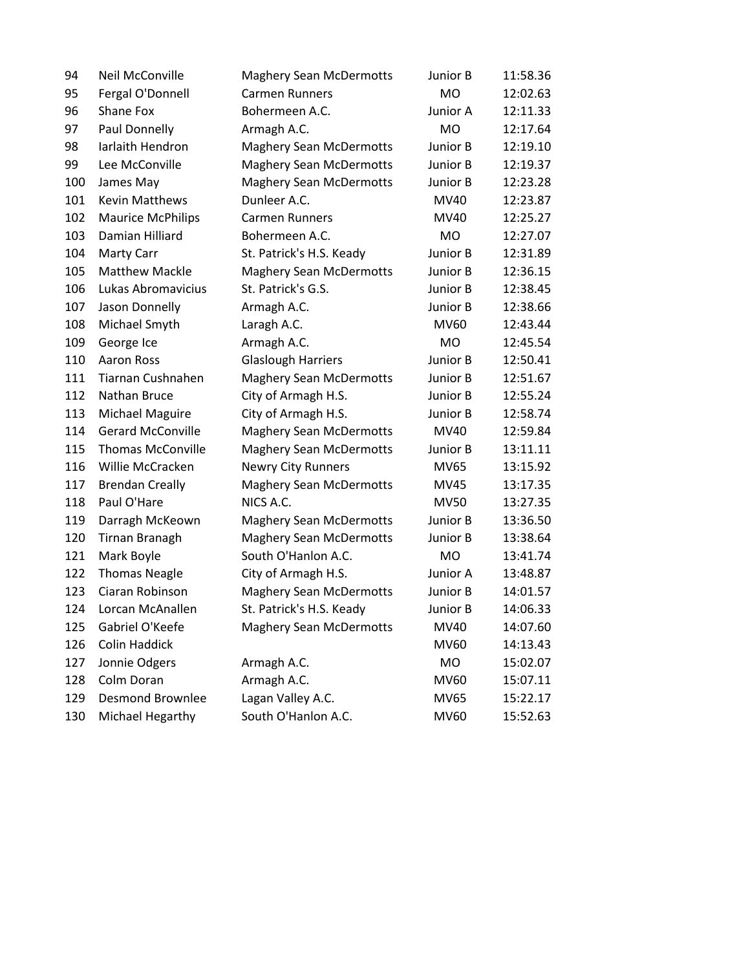| 94  | Neil McConville          | <b>Maghery Sean McDermotts</b> | Junior B    | 11:58.36 |
|-----|--------------------------|--------------------------------|-------------|----------|
| 95  | Fergal O'Donnell         | <b>Carmen Runners</b>          | <b>MO</b>   | 12:02.63 |
| 96  | Shane Fox                | Bohermeen A.C.                 | Junior A    | 12:11.33 |
| 97  | Paul Donnelly            | Armagh A.C.                    | <b>MO</b>   | 12:17.64 |
| 98  | Iarlaith Hendron         | <b>Maghery Sean McDermotts</b> | Junior B    | 12:19.10 |
| 99  | Lee McConville           | <b>Maghery Sean McDermotts</b> | Junior B    | 12:19.37 |
| 100 | James May                | <b>Maghery Sean McDermotts</b> | Junior B    | 12:23.28 |
| 101 | <b>Kevin Matthews</b>    | Dunleer A.C.                   | MV40        | 12:23.87 |
| 102 | <b>Maurice McPhilips</b> | <b>Carmen Runners</b>          | MV40        | 12:25.27 |
| 103 | Damian Hilliard          | Bohermeen A.C.                 | MO          | 12:27.07 |
| 104 | Marty Carr               | St. Patrick's H.S. Keady       | Junior B    | 12:31.89 |
| 105 | <b>Matthew Mackle</b>    | <b>Maghery Sean McDermotts</b> | Junior B    | 12:36.15 |
| 106 | Lukas Abromavicius       | St. Patrick's G.S.             | Junior B    | 12:38.45 |
| 107 | Jason Donnelly           | Armagh A.C.                    | Junior B    | 12:38.66 |
| 108 | Michael Smyth            | Laragh A.C.                    | <b>MV60</b> | 12:43.44 |
| 109 | George Ice               | Armagh A.C.                    | <b>MO</b>   | 12:45.54 |
| 110 | Aaron Ross               | <b>Glaslough Harriers</b>      | Junior B    | 12:50.41 |
| 111 | Tiarnan Cushnahen        | <b>Maghery Sean McDermotts</b> | Junior B    | 12:51.67 |
| 112 | Nathan Bruce             | City of Armagh H.S.            | Junior B    | 12:55.24 |
| 113 | Michael Maguire          | City of Armagh H.S.            | Junior B    | 12:58.74 |
| 114 | <b>Gerard McConville</b> | <b>Maghery Sean McDermotts</b> | MV40        | 12:59.84 |
| 115 | <b>Thomas McConville</b> | <b>Maghery Sean McDermotts</b> | Junior B    | 13:11.11 |
| 116 | Willie McCracken         | <b>Newry City Runners</b>      | <b>MV65</b> | 13:15.92 |
| 117 | <b>Brendan Creally</b>   | <b>Maghery Sean McDermotts</b> | MV45        | 13:17.35 |
| 118 | Paul O'Hare              | NICS A.C.                      | <b>MV50</b> | 13:27.35 |
| 119 | Darragh McKeown          | <b>Maghery Sean McDermotts</b> | Junior B    | 13:36.50 |
| 120 | Tirnan Branagh           | <b>Maghery Sean McDermotts</b> | Junior B    | 13:38.64 |
| 121 | Mark Boyle               | South O'Hanlon A.C.            | <b>MO</b>   | 13:41.74 |
| 122 | <b>Thomas Neagle</b>     | City of Armagh H.S.            | Junior A    | 13:48.87 |
| 123 | Ciaran Robinson          | <b>Maghery Sean McDermotts</b> | Junior B    | 14:01.57 |
| 124 | Lorcan McAnallen         | St. Patrick's H.S. Keady       | Junior B    | 14:06.33 |
| 125 | Gabriel O'Keefe          | <b>Maghery Sean McDermotts</b> | MV40        | 14:07.60 |
| 126 | <b>Colin Haddick</b>     |                                | MV60        | 14:13.43 |
| 127 | Jonnie Odgers            | Armagh A.C.                    | MO          | 15:02.07 |
| 128 | Colm Doran               | Armagh A.C.                    | MV60        | 15:07.11 |
| 129 | <b>Desmond Brownlee</b>  | Lagan Valley A.C.              | MV65        | 15:22.17 |
| 130 | Michael Hegarthy         | South O'Hanlon A.C.            | MV60        | 15:52.63 |
|     |                          |                                |             |          |